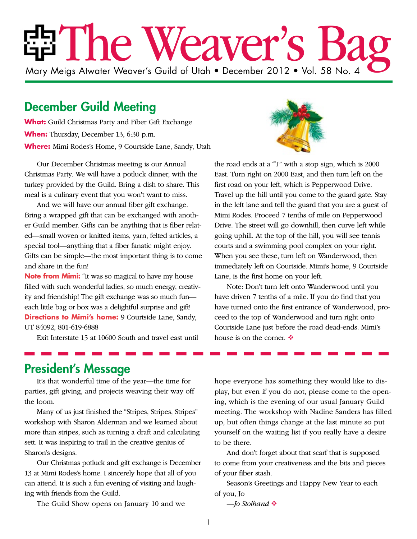# EET The Weaver's F Mary Meigs Atwater Weaver's Guild of Utah • December 2012 • Vol. 58 No. 4

## December Guild Meeting

**What:** Guild Christmas Party and Fiber Gift Exchange **When:** Thursday, December 13, 6:30 p.m. **Where:** Mimi Rodes's Home, 9 Courtside Lane, Sandy, Utah

Our December Christmas meeting is our Annual Christmas Party. We will have a potluck dinner, with the turkey provided by the Guild. Bring a dish to share. This meal is a culinary event that you won't want to miss.

And we will have our annual fiber gift exchange. Bring a wrapped gift that can be exchanged with another Guild member. Gifts can be anything that is fiber related—small woven or knitted items, yarn, felted articles, a special tool—anything that a fiber fanatic might enjoy. Gifts can be simple—the most important thing is to come and share in the fun!

**Note from Mimi:** "It was so magical to have my house filled with such wonderful ladies, so much energy, creativity and friendship! The gift exchange was so much fun each little bag or box was a delightful surprise and gift! **Directions to Mimi's home:** 9 Courtside Lane, Sandy, UT 84092, 801-619-6888

Exit Interstate 15 at 10600 South and travel east until



the road ends at a "T" with a stop sign, which is 2000 East. Turn right on 2000 East, and then turn left on the first road on your left, which is Pepperwood Drive. Travel up the hill until you come to the guard gate. Stay in the left lane and tell the guard that you are a guest of Mimi Rodes. Proceed 7 tenths of mile on Pepperwood Drive. The street will go downhill, then curve left while going uphill. At the top of the hill, you will see tennis courts and a swimming pool complex on your right. When you see these, turn left on Wanderwood, then immediately left on Courtside. Mimi's home, 9 Courtside Lane, is the first home on your left.

Note: Don't turn left onto Wanderwood until you have driven 7 tenths of a mile. If you do find that you have turned onto the first entrance of Wanderwood, proceed to the top of Wanderwood and turn right onto Courtside Lane just before the road dead-ends. Mimi's house is on the corner.  $\div$ 

## President's Message

It's that wonderful time of the year—the time for parties, gift giving, and projects weaving their way off the loom.

Many of us just finished the "Stripes, Stripes, Stripes" workshop with Sharon Alderman and we learned about more than stripes, such as turning a draft and calculating sett. It was inspiring to trail in the creative genius of Sharon's designs.

Our Christmas potluck and gift exchange is December 13 at Mimi Rodes's home. I sincerely hope that all of you can attend. It is such a fun evening of visiting and laughing with friends from the Guild.

The Guild Show opens on January 10 and we

hope everyone has something they would like to display, but even if you do not, please come to the opening, which is the evening of our usual January Guild meeting. The workshop with Nadine Sanders has filled up, but often things change at the last minute so put yourself on the waiting list if you really have a desire to be there.

And don't forget about that scarf that is supposed to come from your creativeness and the bits and pieces of your fiber stash.

Season's Greetings and Happy New Year to each of you, Jo

```
—Jo Stolhand
```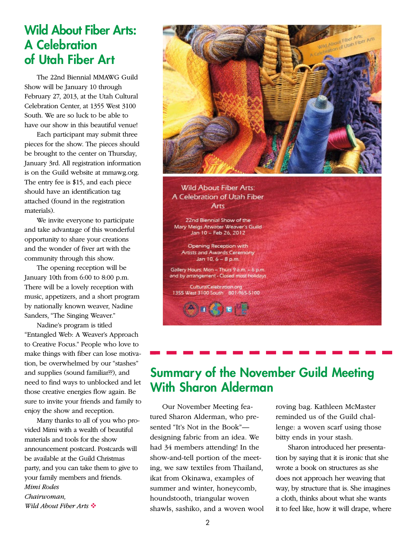## Wild About Fiber Arts: A Celebration of Utah Fiber Art

The 22nd Biennial MMAWG Guild Show will be January 10 through February 27, 2013, at the Utah Cultural Celebration Center, at 1355 West 3100 South. We are so luck to be able to have our show in this beautiful venue!

Each participant may submit three pieces for the show. The pieces should be brought to the center on Thursday, January 3rd. All registration information is on the Guild website at mmawg.org. The entry fee is \$15, and each piece should have an identification tag attached (found in the registration materials).

We invite everyone to participate and take advantage of this wonderful opportunity to share your creations and the wonder of fiver art with the community through this show.

The opening reception will be January 10th from 6:00 to 8:00 p.m. There will be a lovely reception with music, appetizers, and a short program by nationally known weaver, Nadine Sanders, "The Singing Weaver."

Nadine's program is titled "Entangled Web: A Weaver's Approach to Creative Focus." People who love to make things with fiber can lose motivation, be overwhelmed by our "stashes" and supplies (sound familiar??), and need to find ways to unblocked and let those creative energies flow again. Be sure to invite your friends and family to enjoy the show and reception.

Many thanks to all of you who provided Mimi with a wealth of beautiful materials and tools for the show announcement postcard. Postcards will be available at the Guild Christmas party, and you can take them to give to your family members and friends. *Mimi Rodes Chairwoman, Wild About Fiber Arts* 



**Wild About Fiber Arts:** A Celebration of Utah Fiber Arts

22nd Biennial Show of the Mary Meigs Atwater Weaver's Guild Jan 10 - Feb 26, 2012

Opening Reception with **Artists and Awards Ceremony** Jan 10, 6 - 8 p.m.

Gallery Hours: Mon - Thurs 9 a.m. - 6 p.m. and by arrangement - Closed most holidays

CulturalCelebration.org 1355 West 3100 South 801-965-5100

## Summary of the November Guild Meeting With Sharon Alderman

Our November Meeting featured Sharon Alderman, who presented "It's Not in the Book" designing fabric from an idea. We had 34 members attending! In the show-and-tell portion of the meeting, we saw textiles from Thailand, ikat from Okinawa, examples of summer and winter, honeycomb, houndstooth, triangular woven shawls, sashiko, and a woven wool roving bag. Kathleen McMaster reminded us of the Guild challenge: a woven scarf using those bitty ends in your stash.

Sharon introduced her presentation by saying that it is ironic that she wrote a book on structures as she does not approach her weaving that way, by structure that is. She imagines a cloth, thinks about what she wants it to feel like, how it will drape, where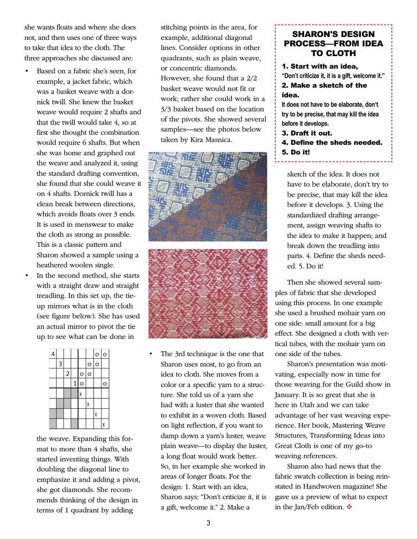she wants floats and where she does not, and then uses one of three ways to take that idea to the cloth. The three approaches she discussed are:

- Based on a fabric she's seen, for example, a jacket fabric, which was a basket weave with a dornick twill. She knew the basket weave would require 2 shafts and that the twill would take 4, so at first she thought the combination would require 6 shafts. But when she was home and graphed out the weave and analyzed it, using the standard drafting convention, she found that she could weave it on 4 shafts. Dornick twill has a clean break between directions, which avoids floats over 3 ends. It is used in menswear to make the cloth as strong as possible. This is a classic pattern and Sharon showed a sample using a heathered woolen single.
- In the second method, she starts with a straight draw and straight treadling. In this set up, the tieup mirrors what is in the cloth (see figure below). She has used an actual mirror to pivot the tie up to see what can be done in



the weave. Expanding this format to more than 4 shafts, she started inventing things. With doubling the diagonal line to emphasize it and adding a pivot, she got diamonds. She recommends thinking of the design in terms of 1 quadrant by adding

stitching points in the area, for example, additional diagonal lines. Consider options in other quadrants, such as plain weave, or concentric diamonds. However, she found that a 2/2 basket weave would not fit or work; rather she could work in a 3/3 basket based on the location of the pivots. She showed several samples—see the photos below taken by Kira Masnica.





The 3rd technique is the one that Sharon uses most, to go from an idea to cloth. She moves from a color or a specific yarn to a structure. She told us of a yarn she had with a luster that she wanted to exhibit in a woven cloth. Based on light reflection, if you want to damp down a yarn's luster, weave plain weave—to display the luster, a long float would work better. So, in her example she worked in areas of longer floats. For the design: 1. Start with an idea, Sharon says: "Don't criticize it, it is a gift, welcome it." 2. Make a

#### SHARON'S DESIGN PROCESS—FROM IDEA TO CLOTH

1. Start with an idea, **"Don't criticize it, it is a gift, welcome it."**  2. Make a sketch of the idea.

**It does not have to be elaborate, don't try to be precise, that may kill the idea before it develops.** 

- 3. Draft it out.
- 4. Define the sheds needed. 5. Do it!

sketch of the idea. It does not have to be elaborate, don't try to be precise, that may kill the idea before it develops. 3. Using the standardized drafting arrangement, assign weaving shafts to the idea to make it happen; and break down the treadling into parts. 4. Define the sheds needed. 5. Do it!

Then she showed several samples of fabric that she developed using this process. In one example she used a brushed mohair yarn on one side: small amount for a big effect. She designed a cloth with vertical tubes, with the mohair yarn on one side of the tubes.

Sharon's presentation was motivating, especially now in time for those weaving for the Guild show in January. It is so great that she is here in Utah and we can take advantage of her vast weaving experience. Her book, Mastering Weave Structures, Transforming Ideas into Great Cloth is one of my go-to weaving references.

Sharon also had news that the fabric swatch collection is being reinstated in Handwoven magazine! She gave us a preview of what to expect in the Jan/Feb edition.  $\mathbf{\hat{v}}$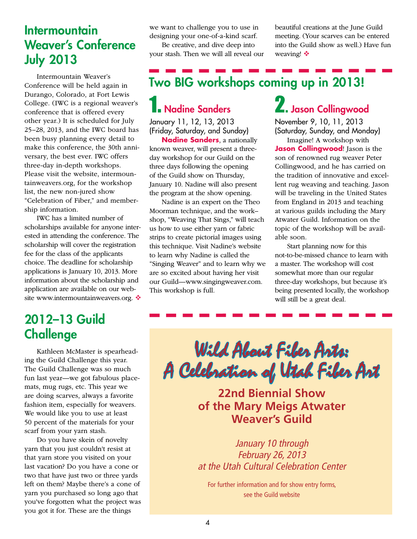## **Intermountain** Weaver's Conference July 2013

Intermountain Weaver's Conference will be held again in Durango, Colorado, at Fort Lewis College. (IWC is a regional weaver's conference that is offered every other year.) It is scheduled for July 25–28, 2013, and the IWC board has been busy planning every detail to make this conference, the 30th anniversary, the best ever. IWC offers three-day in-depth workshops. Please visit the website, intermountainweavers.org, for the workshop list, the new non-jured show "Celebration of Fiber," and membership information.

IWC has a limited number of scholarships available for anyone interested in attending the conference. The scholarship will cover the registration fee for the class of the applicants choice. The deadline for scholarship applications is January 10, 2013. More information about the scholarship and application are available on our website www.intermountainweavers.org. ❖ we want to challenge you to use in designing your one-of-a-kind scarf.

Be creative, and dive deep into your stash. Then we will all reveal our beautiful creations at the June Guild meeting. (Your scarves can be entered into the Guild show as well.) Have fun weaving! ❖

# Two BIG workshops coming up in 2013!

# **Nadine Sanders**

January 11, 12, 13, 2013 (Friday, Saturday, and Sunday)

**Nadine Sanders**, a nationally known weaver, will present a threeday workshop for our Guild on the three days following the opening of the Guild show on Thursday, January 10. Nadine will also present the program at the show opening.

Nadine is an expert on the Theo Moorman technique, and the work– shop, "Weaving That Sings," will teach us how to use either yarn or fabric strips to create pictorial images using this technique. Visit Nadine's website to learn why Nadine is called the "Singing Weaver" and to learn why we are so excited about having her visit our Guild—www.singingweaver.com. This workshop is full.

# 2. Jason Collingwood

November 9, 10, 11, 2013 (Saturday, Sunday, and Monday)

Imagine! A workshop with **Jason Collingwood**! Jason is the son of renowned rug weaver Peter Collingwood, and he has carried on the tradition of innovative and excellent rug weaving and teaching. Jason will be traveling in the United States from England in 2013 and teaching at various guilds including the Mary Atwater Guild. Information on the topic of the workshop will be available soon.

Start planning now for this not-to-be-missed chance to learn with a master. The workshop will cost somewhat more than our regular three-day workshops, but because it's being presented locally, the workshop will still be a great deal.

## 2012–13 Guild **Challenge**

Kathleen McMaster is spearheading the Guild Challenge this year. The Guild Challenge was so much fun last year—we got fabulous placemats, mug rugs, etc. This year we are doing scarves, always a favorite fashion item, especially for weavers. We would like you to use at least 50 percent of the materials for your scarf from your yarn stash.

Do you have skein of novelty yarn that you just couldn't resist at that yarn store you visited on your last vacation? Do you have a cone or two that have just two or three yards left on them? Maybe there's a cone of yarn you purchased so long ago that you've forgotten what the project was you got it for. These are the things

Wild About Fiber Arts: A Celebration of Utah Fiber Art

**22nd Biennial Show of the Mary Meigs Atwater Weaver's Guild**

*January 10 through February 26, 2013 at the Utah Cultural Celebration Center*

For further information and for show entry forms, see the Guild website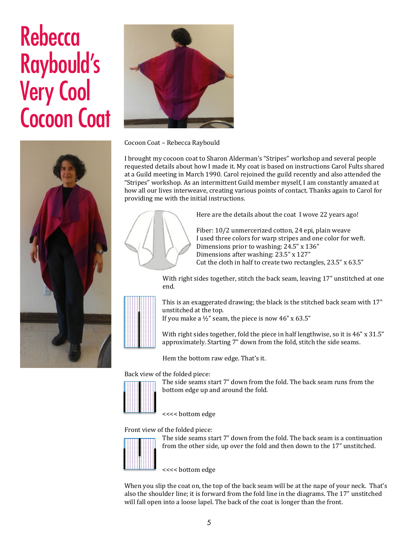# Rebecca Raybould's Very Cool Cocoon Coat



Cocoon Coat - Rebecca Raybould

I brought my cocoon coat to Sharon Alderman's "Stripes" workshop and several people requested details about how I made it. My coat is based on instructions Carol Fults shared at a Guild meeting in March 1990. Carol rejoined the guild recently and also attended the "Stripes" workshop. As an intermittent Guild member myself, I am constantly amazed at how all our lives interweave, creating various points of contact. Thanks again to Carol for providing me with the initial instructions.



Here are the details about the coat I wove 22 years ago!

Fiber: 10/2 unmercerized cotton, 24 epi, plain weave I used three colors for warp stripes and one color for weft. Dimensions prior to washing:  $24.5$ " x  $136$ " Dimensions after washing: 23.5" x 127" Cut the cloth in half to create two rectangles,  $23.5$ " x  $63.5$ "

With right sides together, stitch the back seam, leaving 17" unstitched at one end.

This is an exaggerated drawing; the black is the stitched back seam with 17" unstitched at the top.

If you make a  $\frac{1}{2}$ " seam, the piece is now 46" x 63.5"

With right sides together, fold the piece in half lengthwise, so it is  $46$ " x  $31.5$ " approximately. Starting 7" down from the fold, stitch the side seams.

Hem the bottom raw edge. That's it.

Back view of the folded piece:



The side seams start 7" down from the fold. The back seam runs from the bottom edge up and around the fold.

<<<< bottom edge

Front view of the folded piece:



The side seams start 7" down from the fold. The back seam is a continuation from the other side, up over the fold and then down to the 17" unstitched.

<<<< bottom edge

When you slip the coat on, the top of the back seam will be at the nape of your neck. That's also the shoulder line; it is forward from the fold line in the diagrams. The 17" unstitched will fall open into a loose lapel. The back of the coat is longer than the front.